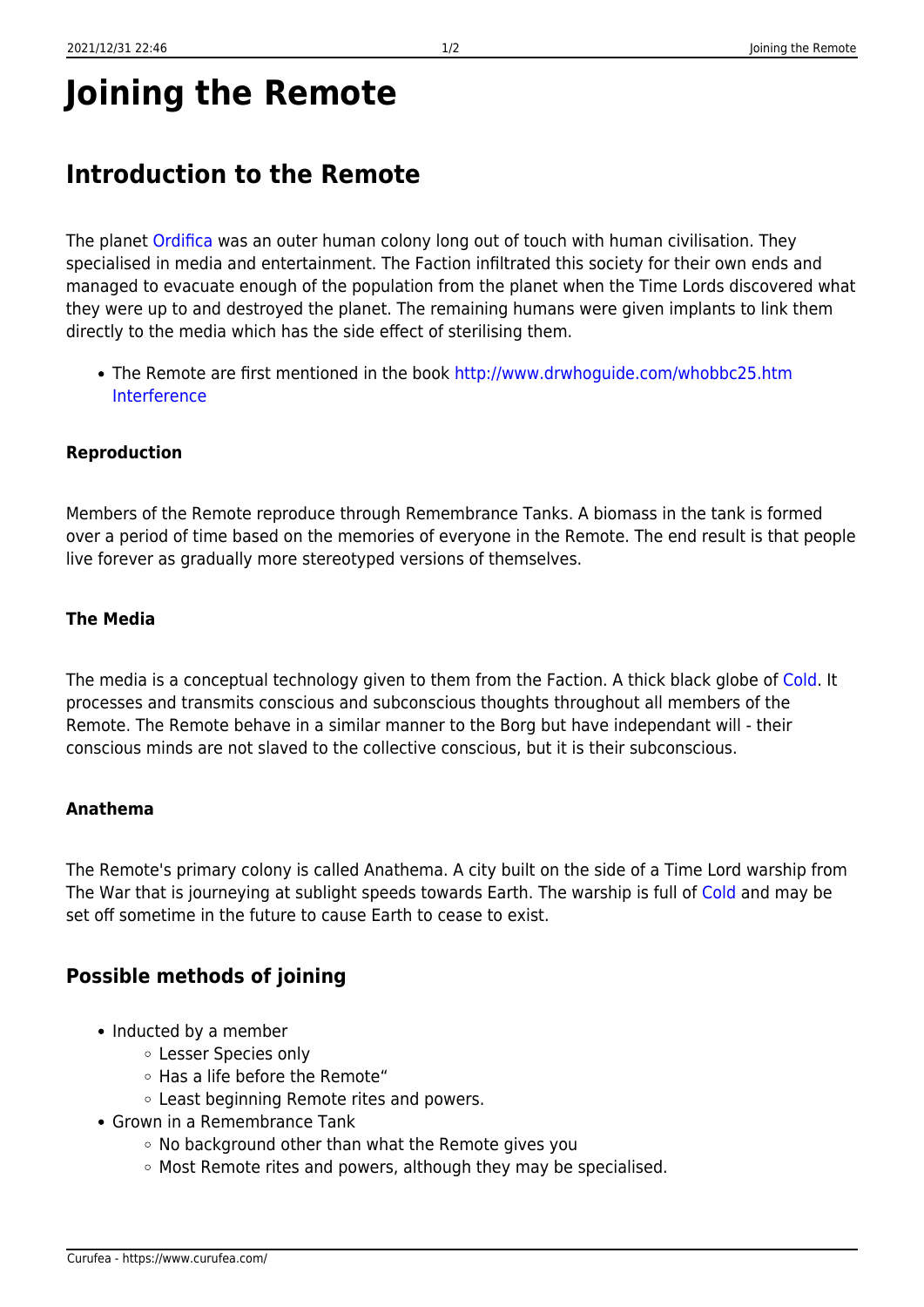# **Joining the Remote**

# **Introduction to the Remote**

The planet [Ordifica](https://www.curufea.com/doku.php?id=faction:factionordifica) was an outer human colony long out of touch with human civilisation. They specialised in media and entertainment. The Faction infiltrated this society for their own ends and managed to evacuate enough of the population from the planet when the Time Lords discovered what they were up to and destroyed the planet. The remaining humans were given implants to link them directly to the media which has the side effect of sterilising them.

• The Remote are first mentioned in the book [http://www.drwhoguide.com/whobbc25.htm](http://www.drwhoguide.com/whobbc25.htm Interference) **[Interference](http://www.drwhoguide.com/whobbc25.htm Interference)** 

#### **Reproduction**

Members of the Remote reproduce through Remembrance Tanks. A biomass in the tank is formed over a period of time based on the memories of everyone in the Remote. The end result is that people live forever as gradually more stereotyped versions of themselves.

#### **The Media**

The media is a conceptual technology given to them from the Faction. A thick black globe of [Cold.](https://www.curufea.com/doku.php?id=faction:factioncold) It processes and transmits conscious and subconscious thoughts throughout all members of the Remote. The Remote behave in a similar manner to the Borg but have independant will - their conscious minds are not slaved to the collective conscious, but it is their subconscious.

#### **Anathema**

The Remote's primary colony is called Anathema. A city built on the side of a Time Lord warship from The War that is journeying at sublight speeds towards Earth. The warship is full of [Cold](https://www.curufea.com/doku.php?id=faction:factioncold) and may be set off sometime in the future to cause Earth to cease to exist.

## **Possible methods of joining**

- Inducted by a member
	- Lesser Species only
	- Has a life before the Remote"
	- Least beginning Remote rites and powers.
- Grown in a Remembrance Tank
	- No background other than what the Remote gives you
	- Most Remote rites and powers, although they may be specialised.